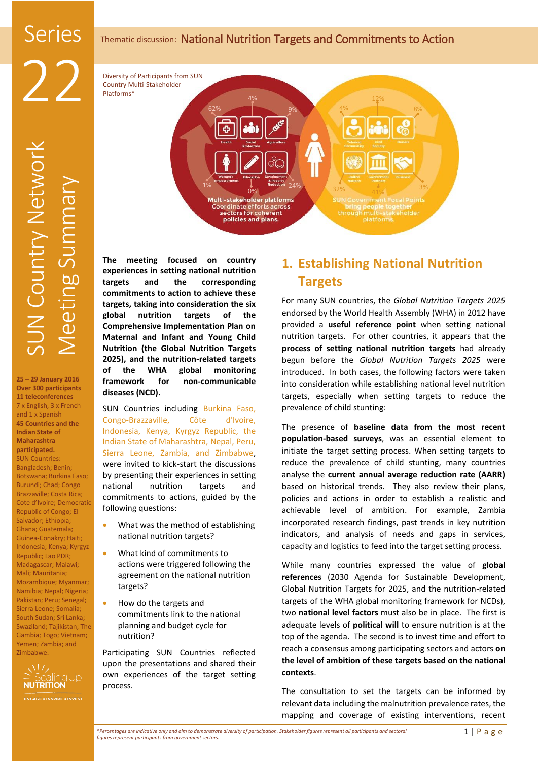# Thematic discussion: National Nutrition Targets and Commitments to Action

Diversity of Participants from SUN Country Multi-Stakeholder Platforms\*

**25 – 29 January 2016 Over 300 participants 11 teleconferences** 7 x English, 3 x French and 1 x Spanish **45 Countries and the Indian State of Maharashtra participated.** SUN Countries: Bangladesh; Benin; Botswana; Burkina Faso; Burundi; Chad; Congo Brazzaville; Costa Rica; Cote d'Ivoire; Democratic Republic of Congo; El Salvador; Ethiopia; Ghana; Guatemala; Guinea-Conakry; Haiti; Indonesia; Kenya; Kyrgyz Republic; Lao PDR; Madagascar; Malawi; Mali; Mauritania; Mozambique; Myanmar; Namibia; Nepal; Nigeria; Pakistan; Peru; Senegal; Sierra Leone; Somalia; South Sudan; Sri Lanka; Swaziland; Tajikistan; The Gambia; Togo; Vietnam; Yemen; Zambia; and Zimbabwe.





**The meeting focused on country experiences in setting national nutrition targets and the corresponding commitments to action to achieve these targets, taking into consideration the six global nutrition targets of the Comprehensive Implementation Plan on Maternal and Infant and Young Child Nutrition (the Global Nutrition Targets 2025), and the nutrition-related targets of the WHA global monitoring framework for non-communicable diseases (NCD).**

SUN Countries including Burkina Faso, Congo-Brazzaville, Côte d'Ivoire, Indonesia, Kenya, Kyrgyz Republic, the Indian State of Maharashtra, Nepal, Peru, Sierra Leone, Zambia, and Zimbabwe, were invited to kick-start the discussions by presenting their experiences in setting national nutrition targets and commitments to actions, guided by the following questions:

- What was the method of establishing national nutrition targets?
- What kind of commitments to actions were triggered following the agreement on the national nutrition targets?
- How do the targets and commitments link to the national planning and budget cycle for nutrition?

Participating SUN Countries reflected upon the presentations and shared their own experiences of the target setting process.

# **1. Establishing National Nutrition Targets**

For many SUN countries, the *Global Nutrition Targets 2025* endorsed by the World Health Assembly (WHA) in 2012 have provided a **useful reference point** when setting national nutrition targets. For other countries, it appears that the **process of setting national nutrition targets** had already begun before the *Global Nutrition Targets 2025* were introduced. In both cases, the following factors were taken into consideration while establishing national level nutrition targets, especially when setting targets to reduce the prevalence of child stunting:

The presence of **baseline data from the most recent population-based surveys**, was an essential element to initiate the target setting process. When setting targets to reduce the prevalence of child stunting, many countries analyse the **current annual average reduction rate (AARR)** based on historical trends. They also review their plans, policies and actions in order to establish a realistic and achievable level of ambition. For example, Zambia incorporated research findings, past trends in key nutrition indicators, and analysis of needs and gaps in services, capacity and logistics to feed into the target setting process.

While many countries expressed the value of **global references** (2030 Agenda for Sustainable Development, Global Nutrition Targets for 2025, and the nutrition-related targets of the WHA global monitoring framework for NCDs), two **national level factors** must also be in place. The first is adequate levels of **political will** to ensure nutrition is at the top of the agenda. The second is to invest time and effort to reach a consensus among participating sectors and actors **on the level of ambition of these targets based on the national contexts**.

The consultation to set the targets can be informed by relevant data including the malnutrition prevalence rates, the mapping and coverage of existing interventions, recent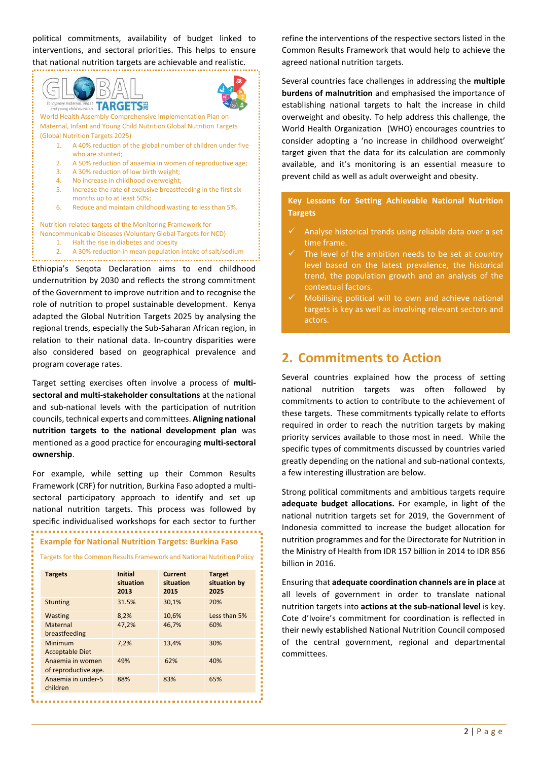political commitments, availability of budget linked to interventions, and sectoral priorities. This helps to ensure that national nutrition targets are achievable and realistic.



undernutrition by 2030 and reflects the strong commitment of the Government to improve nutrition and to recognise the role of nutrition to propel sustainable development. Kenya adapted the Global Nutrition Targets 2025 by analysing the regional trends, especially the Sub-Saharan African region, in relation to their national data. In-country disparities were also considered based on geographical prevalence and program coverage rates.

Target setting exercises often involve a process of **multisectoral and multi-stakeholder consultations** at the national and sub-national levels with the participation of nutrition councils, technical experts and committees. **Aligning national nutrition targets to the national development plan** was mentioned as a good practice for encouraging **multi-sectoral ownership**.

For example, while setting up their Common Results Framework (CRF) for nutrition, Burkina Faso adopted a multisectoral participatory approach to identify and set up national nutrition targets. This process was followed by specific individualised workshops for each sector to further

# **Example for National Nutrition Targets: Burkina Faso**

| Targets for the Common Results Framework and National Nutrition Policy |  |  |
|------------------------------------------------------------------------|--|--|
|------------------------------------------------------------------------|--|--|

| <b>Targets</b>                           | <b>Initial</b><br>situation<br>2013 | <b>Current</b><br>situation<br>2015 | <b>Target</b><br>situation by<br>2025 |
|------------------------------------------|-------------------------------------|-------------------------------------|---------------------------------------|
| <b>Stunting</b>                          | 31.5%                               | 30,1%                               | 20%                                   |
| <b>Wasting</b>                           | 8.2%                                | 10,6%                               | Less than 5%                          |
| Maternal<br>breastfeeding                | 47,2%                               | 46.7%                               | 60%                                   |
| Minimum<br><b>Acceptable Diet</b>        | 7.2%                                | 13,4%                               | 30%                                   |
| Anaemia in women<br>of reproductive age. | 49%                                 | 62%                                 | 40%                                   |
| Anaemia in under-5<br>children           | 88%                                 | 83%                                 | 65%                                   |

refine the interventions of the respective sectors listed in the Common Results Framework that would help to achieve the agreed national nutrition targets.

Several countries face challenges in addressing the **multiple burdens of malnutrition** and emphasised the importance of establishing national targets to halt the increase in child overweight and obesity. To help address this challenge, the World Health Organization (WHO) encourages countries to consider adopting a 'no increase in childhood overweight' target given that the data for its calculation are commonly available, and it's monitoring is an essential measure to prevent child as well as adult overweight and obesity.

**Key Lessons for Setting Achievable National Nutrition Targets**

- Analyse historical trends using reliable data over a set time frame.
- The level of the ambition needs to be set at country level based on the latest prevalence, the historical trend, the population growth and an analysis of the contextual factors.
- Mobilising political will to own and achieve national targets is key as well as involving relevant sectors and actors.

# **2. Commitments to Action**

Several countries explained how the process of setting national nutrition targets was often followed by commitments to action to contribute to the achievement of these targets. These commitments typically relate to efforts required in order to reach the nutrition targets by making priority services available to those most in need. While the specific types of commitments discussed by countries varied greatly depending on the national and sub-national contexts, a few interesting illustration are below.

Strong political commitments and ambitious targets require **adequate budget allocations.** For example, in light of the national nutrition targets set for 2019, the Government of Indonesia committed to increase the budget allocation for nutrition programmes and for the Directorate for Nutrition in the Ministry of Health from IDR 157 billion in 2014 to IDR 856 billion in 2016.

Ensuring that **adequate coordination channels are in place** at all levels of government in order to translate national nutrition targets into **actions at the sub-national level** is key. Cote d'Ivoire's commitment for coordination is reflected in their newly established National Nutrition Council composed of the central government, regional and departmental committees.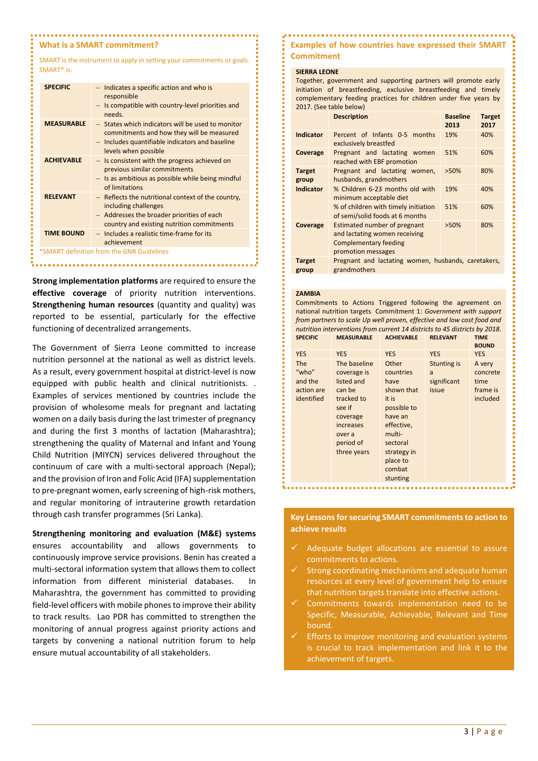### **What is a SMART commitment?**

SMART is the instrument to apply in setting your commitments or goals. SMART\* is:

| <b>SPECIFIC</b>                           | - Indicates a specific action and who is<br>responsible<br>- Is compatible with country-level priorities and<br>needs.                                                    |  |
|-------------------------------------------|---------------------------------------------------------------------------------------------------------------------------------------------------------------------------|--|
| <b>MEASURABLE</b>                         | - States which indicators will be used to monitor<br>commitments and how they will be measured<br>- Includes quantifiable indicators and baseline<br>levels when possible |  |
| <b>ACHIEVABLE</b>                         | - Is consistent with the progress achieved on<br>previous similar commitments<br>$-$ Is as ambitious as possible while being mindful<br>of limitations                    |  |
| <b>RELEVANT</b>                           | - Reflects the nutritional context of the country,<br>including challenges<br>- Addresses the broader priorities of each<br>country and existing nutrition commitments    |  |
| <b>TIME BOUND</b>                         | - Includes a realistic time-frame for its<br>achievement                                                                                                                  |  |
| *SMART definition from the GNR Guidelines |                                                                                                                                                                           |  |

**Strong implementation platforms** are required to ensure the **effective coverage** of priority nutrition interventions. **Strengthening human resources** (quantity and quality) was reported to be essential, particularly for the effective functioning of decentralized arrangements.

The Government of Sierra Leone committed to increase nutrition personnel at the national as well as district levels. As a result, every government hospital at district-level is now equipped with public health and clinical nutritionists. . Examples of services mentioned by countries include the provision of wholesome meals for pregnant and lactating women on a daily basis during the last trimester of pregnancy and during the first 3 months of lactation (Maharashtra); strengthening the quality of Maternal and Infant and Young Child Nutrition (MIYCN) services delivered throughout the continuum of care with a multi-sectoral approach (Nepal); and the provision of Iron and Folic Acid (IFA) supplementation to pre-pregnant women, early screening of high-risk mothers, and regular monitoring of intrauterine growth retardation through cash transfer programmes (Sri Lanka).

**Strengthening monitoring and evaluation (M&E) systems**  ensures accountability and allows governments to continuously improve service provisions. Benin has created a multi-sectoral information system that allows them to collect information from different ministerial databases. Maharashtra, the government has committed to providing field-level officers with mobile phones to improve their ability to track results. Lao PDR has committed to strengthen the monitoring of annual progress against priority actions and targets by convening a national nutrition forum to help ensure mutual accountability of all stakeholders.

## **Examples of how countries have expressed their SMART Commitment**

#### **SIERRA LEONE**

Together, government and supporting partners will promote early initiation of breastfeeding, exclusive breastfeeding and timely complementary feeding practices for children under five years by 2017. (See table below)

|                        | <b>Description</b>                                                                                                         | <b>Baseline</b><br>2013 | <b>Target</b><br>2017 |
|------------------------|----------------------------------------------------------------------------------------------------------------------------|-------------------------|-----------------------|
| Indicator              | Percent of Infants 0-5 months<br>exclusively breastfed                                                                     | 19%                     | 40%                   |
| Coverage               | Pregnant and lactating women<br>reached with EBF promotion                                                                 | 51%                     | 60%                   |
| <b>Target</b><br>group | Pregnant and lactating women,<br>husbands, grandmothers                                                                    | $>50\%$                 | 80%                   |
| <b>Indicator</b>       | % Children 6-23 months old with<br>minimum acceptable diet                                                                 | 19%                     | 40%                   |
|                        | % of children with timely initiation<br>of semi/solid foods at 6 months                                                    | 51%                     | 60%                   |
| Coverage               | <b>Estimated number of pregnant</b><br>and lactating women receiving<br><b>Complementary feeding</b><br>promotion messages | $>50\%$                 | 80%                   |
| <b>Target</b><br>group | Pregnant and lactating women, husbands, caretakers,<br>grandmothers                                                        |                         |                       |

## **ZAMBIA**

Commitments to Actions Triggered following the agreement on national nutrition targets. Commitment 1: *Government with support from partners to scale Up well proven, effective and low cost food and nutrition interventions from current 14 districts to 45 districts by 2018.* **SPECIFIC MEASURABLE ACHIEVABLE RELEVANT** 

|                                                            |                                                                                                                                            |                                                                                                                                                      |                                                 | <b>BOUND</b>                                       |
|------------------------------------------------------------|--------------------------------------------------------------------------------------------------------------------------------------------|------------------------------------------------------------------------------------------------------------------------------------------------------|-------------------------------------------------|----------------------------------------------------|
| <b>YES</b>                                                 | <b>YES</b>                                                                                                                                 | <b>YES</b>                                                                                                                                           | <b>YES</b>                                      | <b>YES</b>                                         |
| <b>The</b><br>"who"<br>and the<br>action are<br>identified | The baseline<br>coverage is<br>listed and<br>can be<br>tracked to<br>see if<br>coverage<br>increases<br>over a<br>period of<br>three years | Other<br>countries<br>have<br>shown that<br>it is<br>possible to<br>have an<br>effective,<br>multi-<br>sectoral<br>strategy in<br>place to<br>combat | <b>Stunting is</b><br>a<br>significant<br>issue | A very<br>concrete<br>time<br>frame is<br>included |
|                                                            |                                                                                                                                            | stunting                                                                                                                                             |                                                 |                                                    |

**Key Lessons for securing SMART commitments to action to achieve results**

- Adequate budget allocations are essential to assure commitments to actions.
- Strong coordinating mechanisms and adequate human resources at every level of government help to ensure that nutrition targets translate into effective actions.
- Commitments towards implementation need to be Specific, Measurable, Achievable, Relevant and Time bound.
- Efforts to improve monitoring and evaluation systems is crucial to track implementation and link it to the achievement of targets.